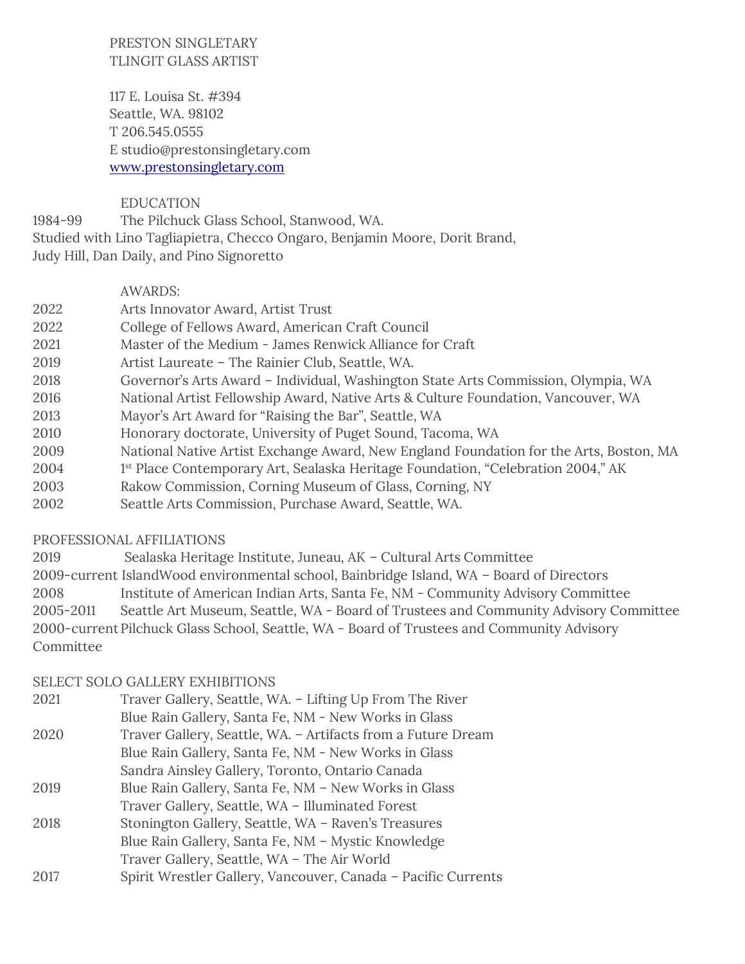## PRESTON SINGLETARY TLINGIT GLASS ARTIST

117 E. Louisa St. #394 Seattle, WA. 98102 T 206.545.0555 E studio@prestonsingletary.com [www.prestonsingletary.com](http://www.prestonsingletary.com/)

## EDUCATION

1984-99 The Pilchuck Glass School, Stanwood, WA. Studied with Lino Tagliapietra, Checco Ongaro, Benjamin Moore, Dorit Brand, Judy Hill, Dan Daily, and Pino Signoretto

## AWARDS:

- 2022 Arts Innovator Award, Artist Trust
- 2022 College of Fellows Award, American Craft Council
- 2021 Master of the Medium James Renwick Alliance for Craft
- 2019 Artist Laureate The Rainier Club, Seattle, WA.
- 2018 Governor's Arts Award Individual, Washington State Arts Commission, Olympia, WA
- 2016 National Artist Fellowship Award, Native Arts & Culture Foundation, Vancouver, WA
- 2013 Mayor's Art Award for "Raising the Bar", Seattle, WA
- 2010 Honorary doctorate, University of Puget Sound, Tacoma, WA
- 2009 National Native Artist Exchange Award, New England Foundation for the Arts, Boston, MA
- 2004 1st Place Contemporary Art, Sealaska Heritage Foundation, "Celebration 2004," AK
- 2003 Rakow Commission, Corning Museum of Glass, Corning, NY
- 2002 Seattle Arts Commission, Purchase Award, Seattle, WA.

# PROFESSIONAL AFFILIATIONS

2019 Sealaska Heritage Institute, Juneau, AK – Cultural Arts Committee

2009-current IslandWood environmental school, Bainbridge Island, WA – Board of Directors

- 2008 Institute of American Indian Arts, Santa Fe, NM Community Advisory Committee
- 2005-2011 Seattle Art Museum, Seattle, WA Board of Trustees and Community Advisory Committee
- 2000-currentPilchuck Glass School, Seattle, WA Board of Trustees and Community Advisory Committee

# SELECT SOLO GALLERY EXHIBITIONS

| 2021 | Traver Gallery, Seattle, WA. - Lifting Up From The River      |
|------|---------------------------------------------------------------|
|      | Blue Rain Gallery, Santa Fe, NM - New Works in Glass          |
| 2020 | Traver Gallery, Seattle, WA. - Artifacts from a Future Dream  |
|      | Blue Rain Gallery, Santa Fe, NM - New Works in Glass          |
|      | Sandra Ainsley Gallery, Toronto, Ontario Canada               |
| 2019 | Blue Rain Gallery, Santa Fe, NM - New Works in Glass          |
|      | Traver Gallery, Seattle, WA - Illuminated Forest              |
| 2018 | Stonington Gallery, Seattle, WA - Raven's Treasures           |
|      | Blue Rain Gallery, Santa Fe, NM - Mystic Knowledge            |
|      | Traver Gallery, Seattle, WA - The Air World                   |
| 2017 | Spirit Wrestler Gallery, Vancouver, Canada - Pacific Currents |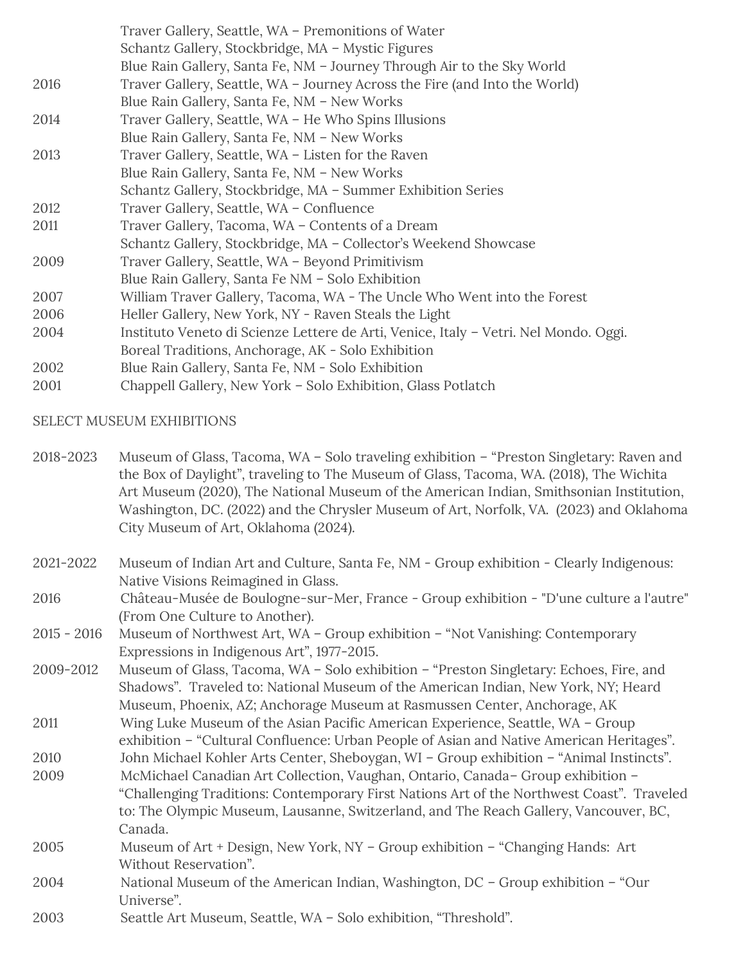|      | Traver Gallery, Seattle, WA – Premonitions of Water                                  |
|------|--------------------------------------------------------------------------------------|
|      | Schantz Gallery, Stockbridge, MA - Mystic Figures                                    |
|      | Blue Rain Gallery, Santa Fe, NM - Journey Through Air to the Sky World               |
| 2016 | Traver Gallery, Seattle, WA - Journey Across the Fire (and Into the World)           |
|      | Blue Rain Gallery, Santa Fe, NM - New Works                                          |
| 2014 | Traver Gallery, Seattle, WA - He Who Spins Illusions                                 |
|      | Blue Rain Gallery, Santa Fe, NM - New Works                                          |
| 2013 | Traver Gallery, Seattle, WA - Listen for the Raven                                   |
|      | Blue Rain Gallery, Santa Fe, NM - New Works                                          |
|      | Schantz Gallery, Stockbridge, MA – Summer Exhibition Series                          |
| 2012 | Traver Gallery, Seattle, WA - Confluence                                             |
| 2011 | Traver Gallery, Tacoma, WA – Contents of a Dream                                     |
|      | Schantz Gallery, Stockbridge, MA - Collector's Weekend Showcase                      |
| 2009 | Traver Gallery, Seattle, WA - Beyond Primitivism                                     |
|      | Blue Rain Gallery, Santa Fe NM - Solo Exhibition                                     |
| 2007 | William Traver Gallery, Tacoma, WA - The Uncle Who Went into the Forest              |
| 2006 | Heller Gallery, New York, NY - Raven Steals the Light                                |
| 2004 | Instituto Veneto di Scienze Lettere de Arti, Venice, Italy - Vetri. Nel Mondo. Oggi. |
|      | Boreal Traditions, Anchorage, AK - Solo Exhibition                                   |
| 2002 | Blue Rain Gallery, Santa Fe, NM - Solo Exhibition                                    |
| 2001 | Chappell Gallery, New York - Solo Exhibition, Glass Potlatch                         |

#### SELECT MUSEUM EXHIBITIONS

- 2018-2023 Museum of Glass, Tacoma, WA Solo traveling exhibition "Preston Singletary: Raven and the Box of Daylight", traveling to The Museum of Glass, Tacoma, WA. (2018), The Wichita Art Museum (2020), The National Museum of the American Indian, Smithsonian Institution, Washington, DC. (2022) and the Chrysler Museum of Art, Norfolk, VA. (2023) and Oklahoma City Museum of Art, Oklahoma (2024).
- 2021-2022 Museum of Indian Art and Culture, Santa Fe, NM Group exhibition Clearly Indigenous: Native Visions Reimagined in Glass.

2016 Château-Musée de Boulogne-sur-Mer, France - Group exhibition - "D'une culture a l'autre" (From One Culture to Another).

- 2015 2016 Museum of Northwest Art, WA Group exhibition "Not Vanishing: Contemporary Expressions in Indigenous Art", 1977-2015.
- 2009-2012 Museum of Glass, Tacoma, WA Solo exhibition "Preston Singletary: Echoes, Fire, and Shadows". Traveled to: National Museum of the American Indian, New York, NY; Heard Museum, Phoenix, AZ; Anchorage Museum at Rasmussen Center, Anchorage, AK
- 2011 Wing Luke Museum of the Asian Pacific American Experience, Seattle, WA Group exhibition – "Cultural Confluence: Urban People of Asian and Native American Heritages".
- 2010 John Michael Kohler Arts Center, Sheboygan, WI Group exhibition "Animal Instincts".
- 2009 McMichael Canadian Art Collection, Vaughan, Ontario, Canada– Group exhibition "Challenging Traditions: Contemporary First Nations Art of the Northwest Coast". Traveled to: The Olympic Museum, Lausanne, Switzerland, and The Reach Gallery, Vancouver, BC, Canada.
- 2005 Museum of Art + Design, New York, NY Group exhibition "Changing Hands: Art Without Reservation".
- 2004 National Museum of the American Indian, Washington, DC Group exhibition "Our Universe".
- 2003 Seattle Art Museum, Seattle, WA Solo exhibition, "Threshold".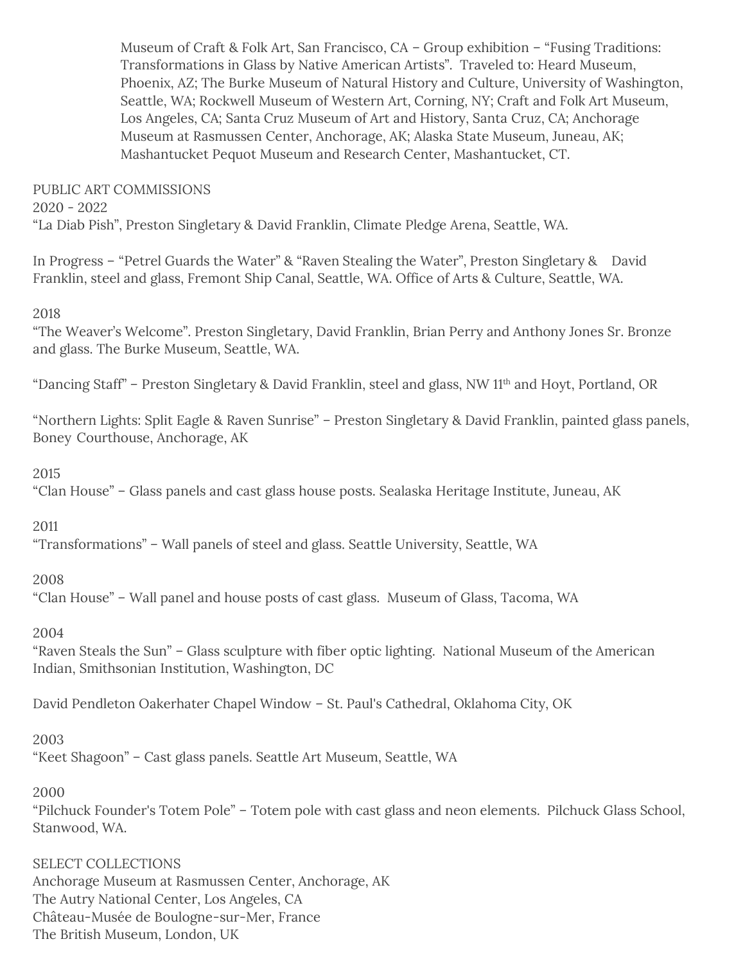Museum of Craft & Folk Art, San Francisco, CA – Group exhibition – "Fusing Traditions: Transformations in Glass by Native American Artists". Traveled to: Heard Museum, Phoenix, AZ; The Burke Museum of Natural History and Culture, University of Washington, Seattle, WA; Rockwell Museum of Western Art, Corning, NY; Craft and Folk Art Museum, Los Angeles, CA; Santa Cruz Museum of Art and History, Santa Cruz, CA; Anchorage Museum at Rasmussen Center, Anchorage, AK; Alaska State Museum, Juneau, AK; Mashantucket Pequot Museum and Research Center, Mashantucket, CT.

# PUBLIC ART COMMISSIONS

2020 - 2022

"La Diab Pish", Preston Singletary & David Franklin, Climate Pledge Arena, Seattle, WA.

In Progress – "Petrel Guards the Water" & "Raven Stealing the Water", Preston Singletary & David Franklin, steel and glass, Fremont Ship Canal, Seattle, WA. Office of Arts & Culture, Seattle, WA.

2018

"The Weaver's Welcome". Preston Singletary, David Franklin, Brian Perry and Anthony Jones Sr. Bronze and glass. The Burke Museum, Seattle, WA.

"Dancing Staff" – Preston Singletary & David Franklin, steel and glass, NW 11th and Hoyt, Portland, OR

"Northern Lights: Split Eagle & Raven Sunrise" – Preston Singletary & David Franklin, painted glass panels, Boney Courthouse, Anchorage, AK

2015

"Clan House" – Glass panels and cast glass house posts. Sealaska Heritage Institute, Juneau, AK

2011

"Transformations" – Wall panels of steel and glass. Seattle University, Seattle, WA

2008

"Clan House" – Wall panel and house posts of cast glass. Museum of Glass, Tacoma, WA

2004

"Raven Steals the Sun" – Glass sculpture with fiber optic lighting. National Museum of the American Indian, Smithsonian Institution, Washington, DC

David Pendleton Oakerhater Chapel Window – St. Paul's Cathedral, Oklahoma City, OK

2003

"Keet Shagoon" – Cast glass panels. Seattle Art Museum, Seattle, WA

2000

"Pilchuck Founder's Totem Pole" – Totem pole with cast glass and neon elements. Pilchuck Glass School, Stanwood, WA.

## SELECT COLLECTIONS

Anchorage Museum at Rasmussen Center, Anchorage, AK The Autry National Center, Los Angeles, CA Château-Musée de Boulogne-sur-Mer, France The British Museum, London, UK